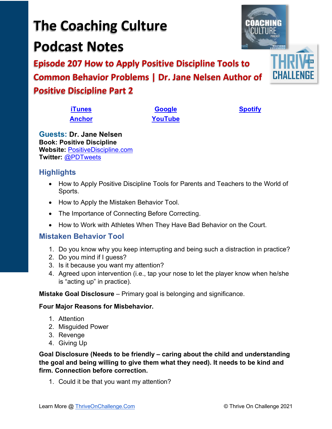• The Importance of Connecting Before Correcting. • How to Work with Athletes When They Have Bad Behavior on the Court.

## **Mistaken Behavior Tool**

**Guests: Dr. Jane Nelsen Book: Positive Discipline Website:** [PositiveDiscipline.com](http://www.positivediscipline.com/)

**Twitter:** [@PDTweets](https://twitter.com/PDTweets)

Sports.

**Highlights**

1. Do you know why you keep interrupting and being such a distraction in practice?

• How to Apply Positive Discipline Tools for Parents and Teachers to the World of

- 2. Do you mind if I guess?
- 3. Is it because you want my attention?

• How to Apply the Mistaken Behavior Tool.

4. Agreed upon intervention (i.e., tap your nose to let the player know when he/she is "acting up" in practice).

**Mistake Goal Disclosure** – Primary goal is belonging and significance.

## **Four Major Reasons for Misbehavior.**

- 1. Attention
- 2. Misguided Power
- 3. Revenge
- 4. Giving Up

**Goal Disclosure (Needs to be friendly – caring about the child and understanding the goal and being willing to give them what they need). It needs to be kind and firm. Connection before correction.**

1. Could it be that you want my attention?

Learn More @ [ThriveOnChallenge.Com](https://thriveonchallenge.com/) © Thrive On Challenge 2021

**The Coaching Culture Podcast Notes**

**Episode 207 How to Apply Positive Discipline Tools to Common Behavior Problems | Dr. Jane Nelsen Author of Positive Discipline Part 2**

> **[iTunes](https://tinyurl.com/y68cvd4x) [Google](https://tinyurl.com/xhduf9bw) [Spotify](https://tinyurl.com/3sf9cp5h) [Anchor](https://tinyurl.com/4yhexz6d) [YouTube](https://www.youtube.com/channel/UC3vIljCBzwHcPyVIx9kiHvw)**

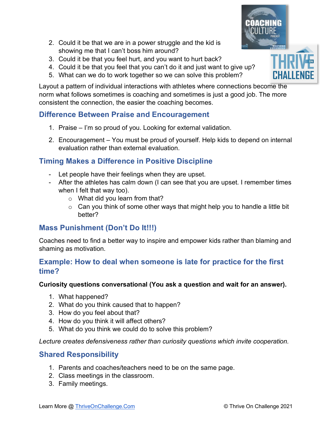- 2. Could it be that we are in a power struggle and the kid is showing me that I can't boss him around?
- 3. Could it be that you feel hurt, and you want to hurt back?
- 4. Could it be that you feel that you can't do it and just want to give up?
- 5. What can we do to work together so we can solve this problem?

Layout a pattern of individual interactions with athletes where connections become the norm what follows sometimes is coaching and sometimes is just a good job. The more consistent the connection, the easier the coaching becomes.

## **Difference Between Praise and Encouragement**

- 1. Praise I'm so proud of you. Looking for external validation.
- 2. Encouragement You must be proud of yourself. Help kids to depend on internal evaluation rather than external evaluation.

## **Timing Makes a Difference in Positive Discipline**

- Let people have their feelings when they are upset.
- After the athletes has calm down (I can see that you are upset. I remember times when I felt that way too).
	- o What did you learn from that?
	- $\circ$  Can you think of some other ways that might help you to handle a little bit better?

## **Mass Punishment (Don't Do It!!!)**

Coaches need to find a better way to inspire and empower kids rather than blaming and shaming as motivation.

#### **Example: How to deal when someone is late for practice for the first time?**

#### **Curiosity questions conversational (You ask a question and wait for an answer).**

- 1. What happened?
- 2. What do you think caused that to happen?
- 3. How do you feel about that?
- 4. How do you think it will affect others?
- 5. What do you think we could do to solve this problem?

*Lecture creates defensiveness rather than curiosity questions which invite cooperation.*

## **Shared Responsibility**

- 1. Parents and coaches/teachers need to be on the same page.
- 2. Class meetings in the classroom.
- 3. Family meetings.